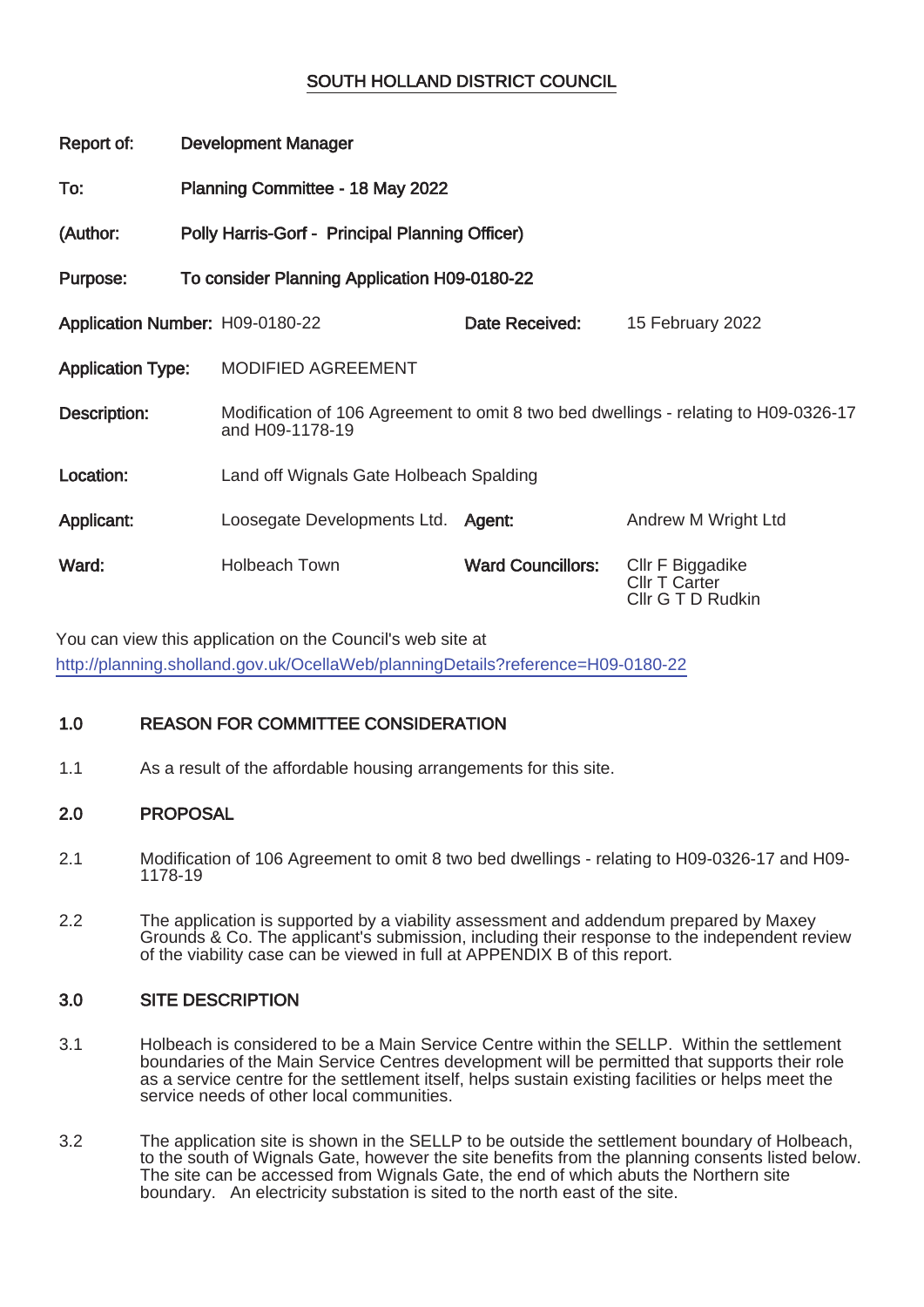# SOUTH HOLLAND DISTRICT COUNCIL

| Report of:                      | <b>Development Manager</b>                      |                                         |                          |                                                                                     |  |
|---------------------------------|-------------------------------------------------|-----------------------------------------|--------------------------|-------------------------------------------------------------------------------------|--|
| To:                             | Planning Committee - 18 May 2022                |                                         |                          |                                                                                     |  |
| (Author:                        | Polly Harris-Gorf - Principal Planning Officer) |                                         |                          |                                                                                     |  |
| Purpose:                        | To consider Planning Application H09-0180-22    |                                         |                          |                                                                                     |  |
| Application Number: H09-0180-22 |                                                 |                                         | Date Received:           | 15 February 2022                                                                    |  |
| <b>Application Type:</b>        |                                                 | MODIFIED AGREEMENT                      |                          |                                                                                     |  |
| Description:                    |                                                 | and H09-1178-19                         |                          | Modification of 106 Agreement to omit 8 two bed dwellings - relating to H09-0326-17 |  |
| Location:                       |                                                 | Land off Wignals Gate Holbeach Spalding |                          |                                                                                     |  |
| Applicant:                      |                                                 | Loosegate Developments Ltd. Agent:      |                          | Andrew M Wright Ltd                                                                 |  |
| Ward:                           |                                                 | <b>Holbeach Town</b>                    | <b>Ward Councillors:</b> | Cllr F Biggadike<br><b>CIIr T Carter</b><br>Cllr G T D Rudkin                       |  |

You can view this application on the Council's web site at http://planning.sholland.gov.uk/OcellaWeb/planningDetails?reference=H09-0180-22

# 1.0 REASON FOR COMMITTEE CONSIDERATION

1.1 As a result of the affordable housing arrangements for this site.

# 2.0 PROPOSAL

- 2.1 Modification of 106 Agreement to omit 8 two bed dwellings relating to H09-0326-17 and H09- 1178-19
- 2.2 The application is supported by a viability assessment and addendum prepared by Maxey Grounds & Co. The applicant's submission, including their response to the independent review of the viability case can be viewed in full at APPENDIX B of this report.

# 3.0 SITE DESCRIPTION

- 3.1 Holbeach is considered to be a Main Service Centre within the SELLP. Within the settlement boundaries of the Main Service Centres development will be permitted that supports their role as a service centre for the settlement itself, helps sustain existing facilities or helps meet the service needs of other local communities.
- 3.2 The application site is shown in the SELLP to be outside the settlement boundary of Holbeach, to the south of Wignals Gate, however the site benefits from the planning consents listed below. The site can be accessed from Wignals Gate, the end of which abuts the Northern site boundary. An electricity substation is sited to the north east of the site.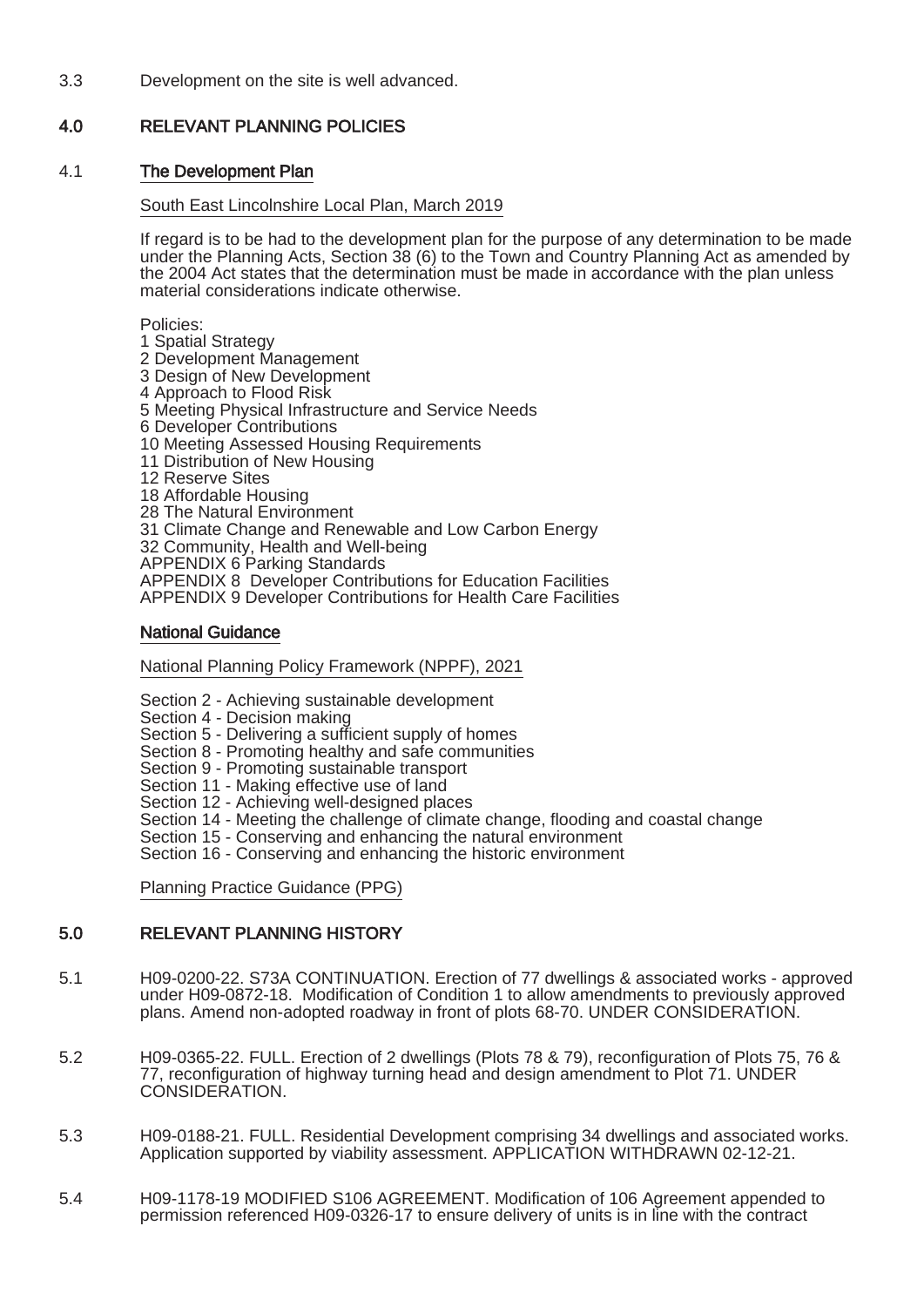3.3 Development on the site is well advanced.

# 4.0 RELEVANT PLANNING POLICIES

### 4.1 The Development Plan

#### South East Lincolnshire Local Plan, March 2019

If regard is to be had to the development plan for the purpose of any determination to be made under the Planning Acts, Section 38 (6) to the Town and Country Planning Act as amended by the 2004 Act states that the determination must be made in accordance with the plan unless material considerations indicate otherwise.

Policies:

- 1 Spatial Strategy
- 2 Development Management
- 3 Design of New Development
- 4 Approach to Flood Risk
- 5 Meeting Physical Infrastructure and Service Needs
- 6 Developer Contributions
- 10 Meeting Assessed Housing Requirements
- 11 Distribution of New Housing
- 12 Reserve Sites
- 18 Affordable Housing
- 28 The Natural Environment
- 31 Climate Change and Renewable and Low Carbon Energy
- 32 Community, Health and Well-being
- APPENDIX 6 Parking Standards

APPENDIX 8 Developer Contributions for Education Facilities

APPENDIX 9 Developer Contributions for Health Care Facilities

### National Guidance

National Planning Policy Framework (NPPF), 2021

Section 2 - Achieving sustainable development

- Section 4 Decision making
- Section 5 Delivering a sufficient supply of homes
- Section 8 Promoting healthy and safe communities
- Section 9 Promoting sustainable transport
- Section 11 Making effective use of land
- Section 12 Achieving well-designed places
- Section 14 Meeting the challenge of climate change, flooding and coastal change
- Section 15 Conserving and enhancing the natural environment
- Section 16 Conserving and enhancing the historic environment

Planning Practice Guidance (PPG)

## 5.0 RELEVANT PLANNING HISTORY

- 5.1 H09-0200-22. S73A CONTINUATION. Erection of 77 dwellings & associated works approved under H09-0872-18. Modification of Condition 1 to allow amendments to previously approved plans. Amend non-adopted roadway in front of plots 68-70. UNDER CONSIDERATION.
- 5.2 H09-0365-22. FULL. Erection of 2 dwellings (Plots 78 & 79), reconfiguration of Plots 75, 76 & 77, reconfiguration of highway turning head and design amendment to Plot 71. UNDER CONSIDERATION.
- 5.3 H09-0188-21. FULL. Residential Development comprising 34 dwellings and associated works. Application supported by viability assessment. APPLICATION WITHDRAWN 02-12-21.
- 5.4 H09-1178-19 MODIFIED S106 AGREEMENT. Modification of 106 Agreement appended to permission referenced H09-0326-17 to ensure delivery of units is in line with the contract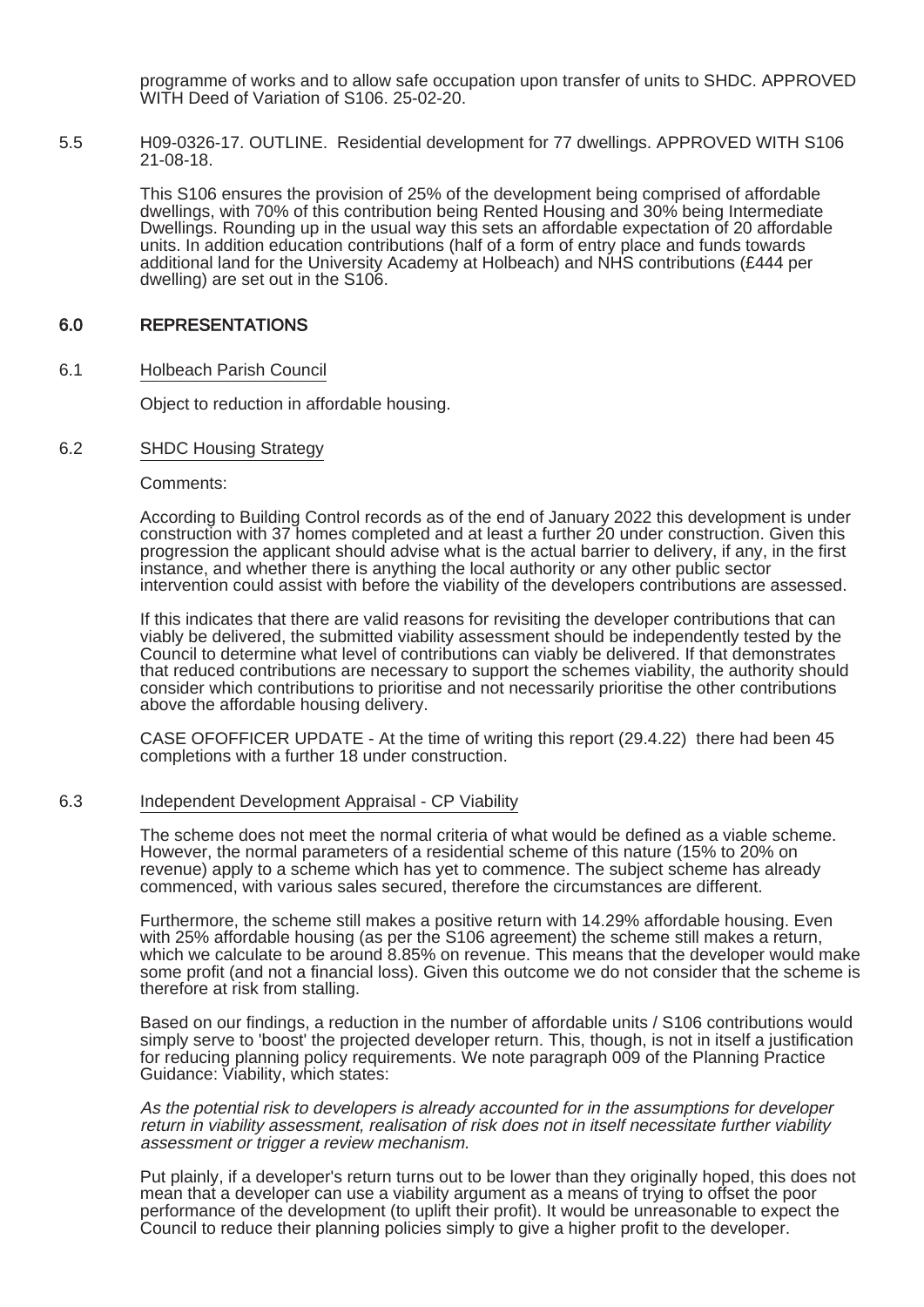programme of works and to allow safe occupation upon transfer of units to SHDC. APPROVED WITH Deed of Variation of S106. 25-02-20.

5.5 H09-0326-17. OUTLINE. Residential development for 77 dwellings. APPROVED WITH S106 21-08-18.

> This S106 ensures the provision of 25% of the development being comprised of affordable dwellings, with 70% of this contribution being Rented Housing and 30% being Intermediate Dwellings. Rounding up in the usual way this sets an affordable expectation of 20 affordable units. In addition education contributions (half of a form of entry place and funds towards additional land for the University Academy at Holbeach) and NHS contributions (£444 per dwelling) are set out in the S106.

## 6.0 REPRESENTATIONS

6.1 Holbeach Parish Council

Object to reduction in affordable housing.

6.2 SHDC Housing Strategy

Comments:

According to Building Control records as of the end of January 2022 this development is under construction with 37 homes completed and at least a further 20 under construction. Given this progression the applicant should advise what is the actual barrier to delivery, if any, in the first instance, and whether there is anything the local authority or any other public sector intervention could assist with before the viability of the developers contributions are assessed.

If this indicates that there are valid reasons for revisiting the developer contributions that can viably be delivered, the submitted viability assessment should be independently tested by the Council to determine what level of contributions can viably be delivered. If that demonstrates that reduced contributions are necessary to support the schemes viability, the authority should consider which contributions to prioritise and not necessarily prioritise the other contributions above the affordable housing delivery.

CASE OFOFFICER UPDATE - At the time of writing this report (29.4.22) there had been 45 completions with a further 18 under construction.

#### 6.3 Independent Development Appraisal - CP Viability

The scheme does not meet the normal criteria of what would be defined as a viable scheme. However, the normal parameters of a residential scheme of this nature (15% to 20% on revenue) apply to a scheme which has yet to commence. The subject scheme has already commenced, with various sales secured, therefore the circumstances are different.

Furthermore, the scheme still makes a positive return with 14.29% affordable housing. Even with 25% affordable housing (as per the S106 agreement) the scheme still makes a return, which we calculate to be around 8.85% on revenue. This means that the developer would make some profit (and not a financial loss). Given this outcome we do not consider that the scheme is therefore at risk from stalling.

Based on our findings, a reduction in the number of affordable units / S106 contributions would simply serve to 'boost' the projected developer return. This, though, is not in itself a justification for reducing planning policy requirements. We note paragraph 009 of the Planning Practice Guidance: Viability, which states:

As the potential risk to developers is already accounted for in the assumptions for developer return in viability assessment, realisation of risk does not in itself necessitate further viability assessment or trigger a review mechanism.

Put plainly, if a developer's return turns out to be lower than they originally hoped, this does not mean that a developer can use a viability argument as a means of trying to offset the poor performance of the development (to uplift their profit). It would be unreasonable to expect the Council to reduce their planning policies simply to give a higher profit to the developer.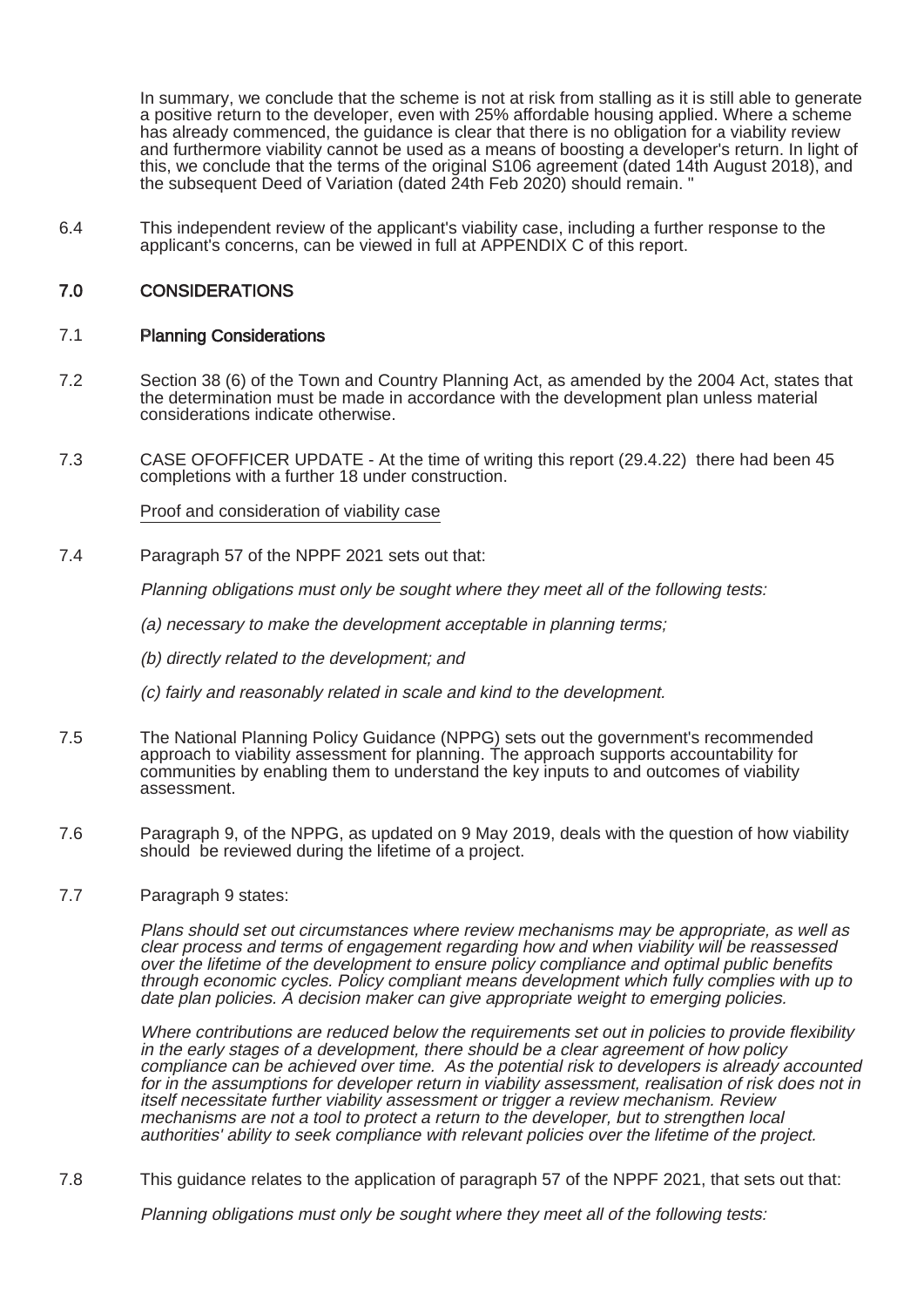In summary, we conclude that the scheme is not at risk from stalling as it is still able to generate a positive return to the developer, even with 25% affordable housing applied. Where a scheme has already commenced, the guidance is clear that there is no obligation for a viability review and furthermore viability cannot be used as a means of boosting a developer's return. In light of this, we conclude that the terms of the original S106 agreement (dated 14th August 2018), and the subsequent Deed of Variation (dated 24th Feb 2020) should remain. "

6.4 This independent review of the applicant's viability case, including a further response to the applicant's concerns, can be viewed in full at APPENDIX C of this report.

## 7.0 CONSIDERATIONS

### 7.1 Planning Considerations

- 7.2 Section 38 (6) of the Town and Country Planning Act, as amended by the 2004 Act, states that the determination must be made in accordance with the development plan unless material considerations indicate otherwise.
- 7.3 CASE OFOFFICER UPDATE At the time of writing this report (29.4.22) there had been 45 completions with a further 18 under construction.

### Proof and consideration of viability case

7.4 Paragraph 57 of the NPPF 2021 sets out that:

Planning obligations must only be sought where they meet all of the following tests:

(a) necessary to make the development acceptable in planning terms;

- (b) directly related to the development; and
- (c) fairly and reasonably related in scale and kind to the development.
- 7.5 The National Planning Policy Guidance (NPPG) sets out the government's recommended approach to viability assessment for planning. The approach supports accountability for communities by enabling them to understand the key inputs to and outcomes of viability assessment.
- 7.6 Paragraph 9, of the NPPG, as updated on 9 May 2019, deals with the question of how viability should be reviewed during the lifetime of a project.

### 7.7 Paragraph 9 states:

Plans should set out circumstances where review mechanisms may be appropriate, as well as clear process and terms of engagement regarding how and when viability will be reassessed over the lifetime of the development to ensure policy compliance and optimal public benefits through economic cycles. Policy compliant means development which fully complies with up to date plan policies. A decision maker can give appropriate weight to emerging policies.

Where contributions are reduced below the requirements set out in policies to provide flexibility in the early stages of a development, there should be a clear agreement of how policy compliance can be achieved over time. As the potential risk to developers is already accounted for in the assumptions for developer return in viability assessment, realisation of risk does not in itself necessitate further viability assessment or trigger a review mechanism. Review mechanisms are not a tool to protect a return to the developer, but to strengthen local authorities' ability to seek compliance with relevant policies over the lifetime of the project.

7.8 This guidance relates to the application of paragraph 57 of the NPPF 2021, that sets out that:

Planning obligations must only be sought where they meet all of the following tests: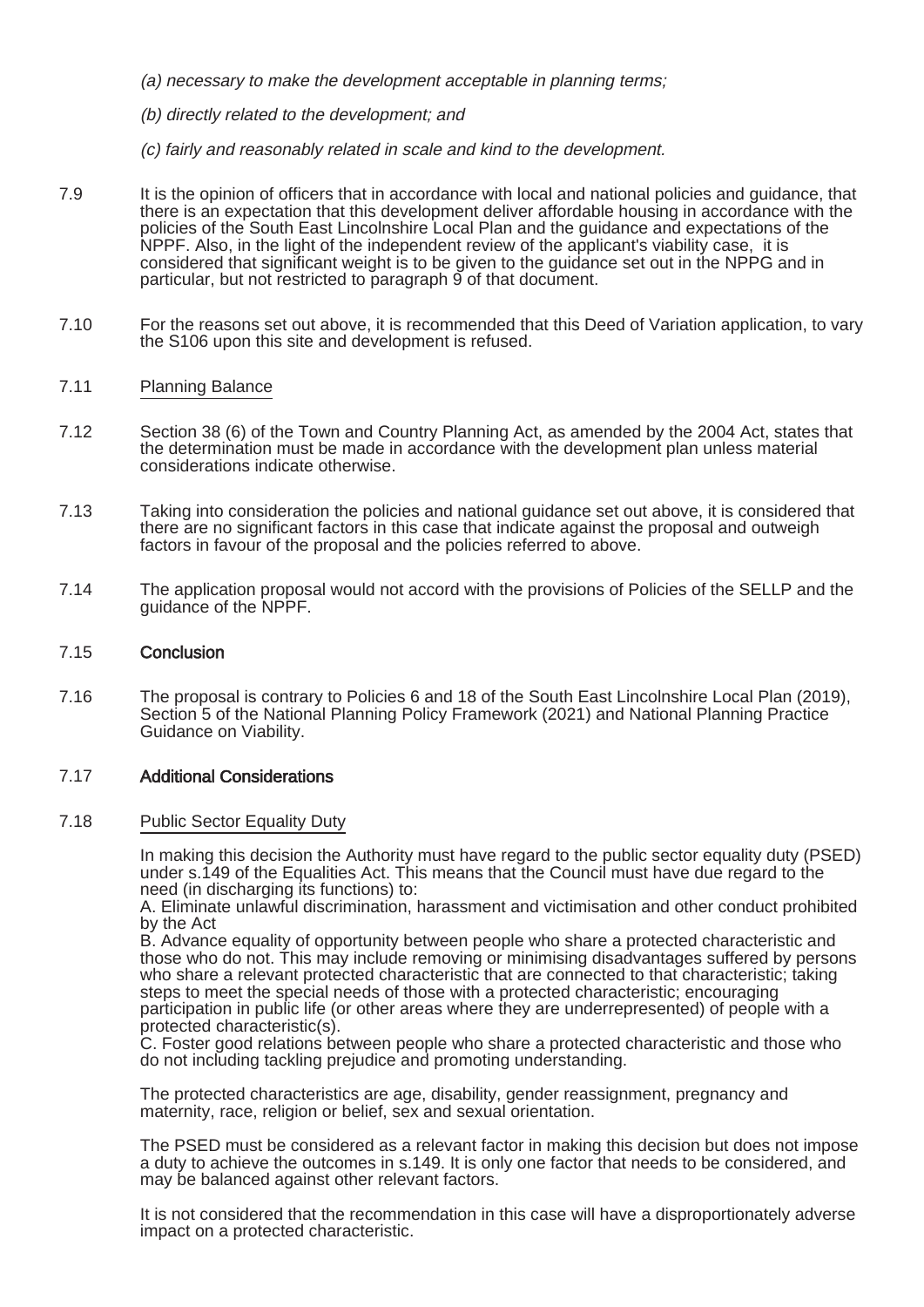- (a) necessary to make the development acceptable in planning terms;
- (b) directly related to the development; and
- (c) fairly and reasonably related in scale and kind to the development.
- 7.9 It is the opinion of officers that in accordance with local and national policies and guidance, that there is an expectation that this development deliver affordable housing in accordance with the policies of the South East Lincolnshire Local Plan and the guidance and expectations of the NPPF. Also, in the light of the independent review of the applicant's viability case, it is considered that significant weight is to be given to the guidance set out in the NPPG and in particular, but not restricted to paragraph 9 of that document.
- 7.10 For the reasons set out above, it is recommended that this Deed of Variation application, to vary the S106 upon this site and development is refused.

### 7.11 Planning Balance

- 7.12 Section 38 (6) of the Town and Country Planning Act, as amended by the 2004 Act, states that the determination must be made in accordance with the development plan unless material considerations indicate otherwise.
- 7.13 Taking into consideration the policies and national guidance set out above, it is considered that there are no significant factors in this case that indicate against the proposal and outweigh factors in favour of the proposal and the policies referred to above.
- 7.14 The application proposal would not accord with the provisions of Policies of the SELLP and the guidance of the NPPF.

#### 7.15 Conclusion

7.16 The proposal is contrary to Policies 6 and 18 of the South East Lincolnshire Local Plan (2019), Section 5 of the National Planning Policy Framework (2021) and National Planning Practice Guidance on Viability.

## 7.17 Additional Considerations

#### 7.18 Public Sector Equality Duty

In making this decision the Authority must have regard to the public sector equality duty (PSED) under s.149 of the Equalities Act. This means that the Council must have due regard to the need (in discharging its functions) to:

A. Eliminate unlawful discrimination, harassment and victimisation and other conduct prohibited by the Act

B. Advance equality of opportunity between people who share a protected characteristic and those who do not. This may include removing or minimising disadvantages suffered by persons who share a relevant protected characteristic that are connected to that characteristic; taking steps to meet the special needs of those with a protected characteristic; encouraging participation in public life (or other areas where they are underrepresented) of people with a protected characteristic(s).

C. Foster good relations between people who share a protected characteristic and those who do not including tackling prejudice and promoting understanding.

The protected characteristics are age, disability, gender reassignment, pregnancy and maternity, race, religion or belief, sex and sexual orientation.

The PSED must be considered as a relevant factor in making this decision but does not impose a duty to achieve the outcomes in s.149. It is only one factor that needs to be considered, and may be balanced against other relevant factors.

It is not considered that the recommendation in this case will have a disproportionately adverse impact on a protected characteristic.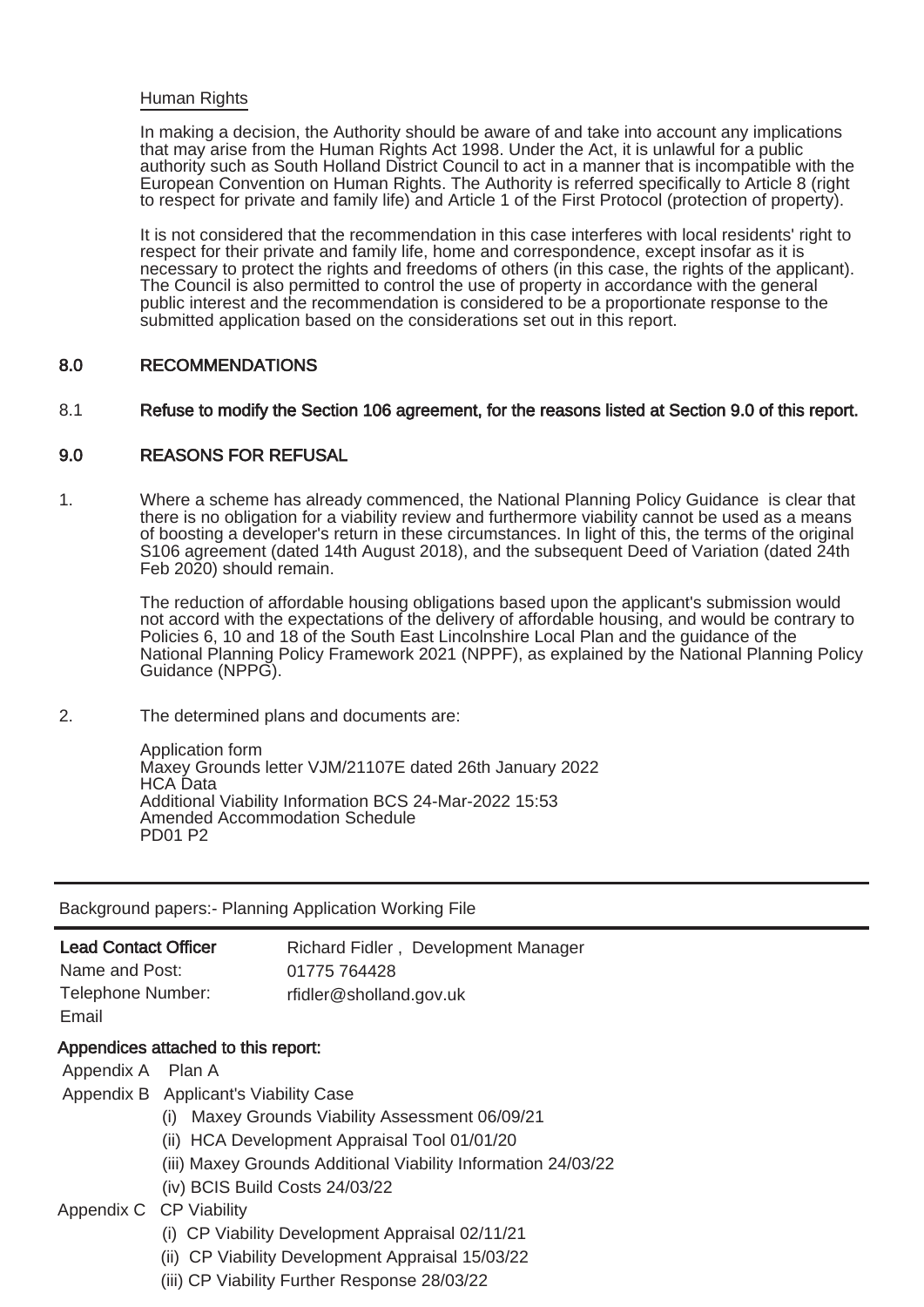#### **Human Rights**

In making a decision, the Authority should be aware of and take into account any implications that may arise from the Human Rights Act 1998. Under the Act, it is unlawful for a public authority such as South Holland District Council to act in a manner that is incompatible with the European Convention on Human Rights. The Authority is referred specifically to Article 8 (right to respect for private and family life) and Article 1 of the First Protocol (protection of property).

It is not considered that the recommendation in this case interferes with local residents' right to respect for their private and family life, home and correspondence, except insofar as it is necessary to protect the rights and freedoms of others (in this case, the rights of the applicant). The Council is also permitted to control the use of property in accordance with the general public interest and the recommendation is considered to be a proportionate response to the submitted application based on the considerations set out in this report.

### 8.0 RECOMMENDATIONS

#### 8.1 Refuse to modify the Section 106 agreement, for the reasons listed at Section 9.0 of this report.

### 9.0 REASONS FOR REFUSAL

1. Where a scheme has already commenced, the National Planning Policy Guidance is clear that there is no obligation for a viability review and furthermore viability cannot be used as a means of boosting a developer's return in these circumstances. In light of this, the terms of the original S106 agreement (dated 14th August 2018), and the subsequent Deed of Variation (dated 24th Feb 2020) should remain.

The reduction of affordable housing obligations based upon the applicant's submission would not accord with the expectations of the delivery of affordable housing, and would be contrary to Policies 6, 10 and 18 of the South East Lincolnshire Local Plan and the guidance of the National Planning Policy Framework 2021 (NPPF), as explained by the National Planning Policy Guidance (NPPG).

2. The determined plans and documents are:

Application form Maxey Grounds letter VJM/21107E dated 26th January 2022 HCA Data Additional Viability Information BCS 24-Mar-2022 15:53 Amended Accommodation Schedule PD01 P2

Background papers:- Planning Application Working File

| <b>Lead Contact Officer</b>         | Richard Fidler, Development Manager |  |  |  |
|-------------------------------------|-------------------------------------|--|--|--|
| Name and Post:                      | 01775 764428                        |  |  |  |
| Telephone Number:                   | rfidler@sholland.gov.uk             |  |  |  |
| Email                               |                                     |  |  |  |
| Appendices attached to this report: |                                     |  |  |  |

Appendix A Plan A

Appendix B Applicant's Viability Case

- (i) Maxey Grounds Viability Assessment 06/09/21
- (ii) HCA Development Appraisal Tool 01/01/20
- (iii) Maxey Grounds Additional Viability Information 24/03/22
- (iv) BCIS Build Costs 24/03/22

## Appendix C CP Viability

- (i) CP Viability Development Appraisal 02/11/21
- (ii) CP Viability Development Appraisal 15/03/22
- (iii) CP Viability Further Response 28/03/22